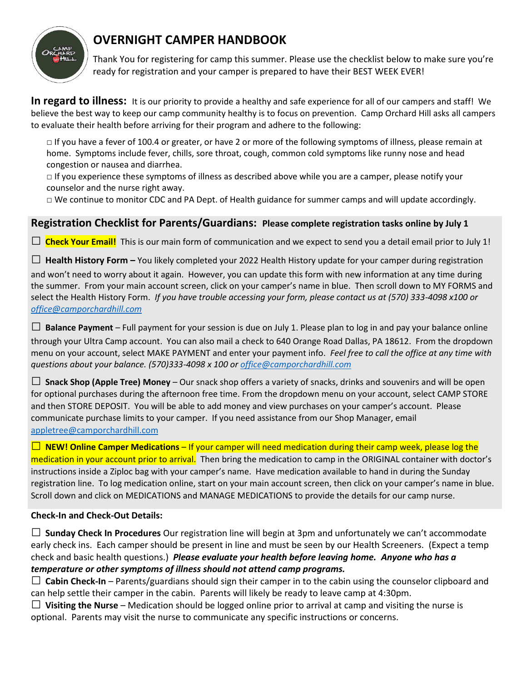

# **OVERNIGHT CAMPER HANDBOOK**

Thank You for registering for camp this summer. Please use the checklist below to make sure you're ready for registration and your camper is prepared to have their BEST WEEK EVER!

**In regard to illness:** It is our priority to provide a healthy and safe experience for all of our campers and staff! We believe the best way to keep our camp community healthy is to focus on prevention. Camp Orchard Hill asks all campers to evaluate their health before arriving for their program and adhere to the following:

□ If you have a fever of 100.4 or greater, or have 2 or more of the following symptoms of illness, please remain at home. Symptoms include fever, chills, sore throat, cough, common cold symptoms like runny nose and head congestion or nausea and diarrhea.

 $\Box$  If you experience these symptoms of illness as described above while you are a camper, please notify your counselor and the nurse right away.

 $\Box$  We continue to monitor CDC and PA Dept. of Health guidance for summer camps and will update accordingly.

### **Registration Checklist for Parents/Guardians: Please complete registration tasks online by July 1**

 $\Box$  **Check Your Email!** This is our main form of communication and we expect to send you a detail email prior to July 1!

 $\Box$  **Health History Form** – You likely completed your 2022 Health History update for your camper during registration and won't need to worry about it again. However, you can update this form with new information at any time during the summer. From your main account screen, click on your camper's name in blue. Then scroll down to MY FORMS and select the Health History Form. *If you have trouble accessing your form, please contact us at (570) 333-4098 x100 or [office@camporchardhill.com](mailto:office@camporchardhill.com)* 

 $\square$  **Balance Payment** – Full payment for your session is due on July 1. Please plan to log in and pay your balance online through your Ultra Camp account. You can also mail a check to 640 Orange Road Dallas, PA 18612. From the dropdown menu on your account, select MAKE PAYMENT and enter your payment info. *Feel free to call the office at any time with questions about your balance. (570)333-4098 x 100 or [office@camporchardhill.com](mailto:office@camporchardhill.com)*

□ **Snack Shop (Apple Tree) Money** – Our snack shop offers a variety of snacks, drinks and souvenirs and will be open for optional purchases during the afternoon free time. From the dropdown menu on your account, select CAMP STORE and then STORE DEPOSIT. You will be able to add money and view purchases on your camper's account. Please communicate purchase limits to your camper. If you need assistance from our Shop Manager, email [appletree@camporchardhill.com](mailto:appletree@camporchardhill.com) 

□ **NEW! Online Camper Medications** – If your camper will need medication during their camp week, please log the medication in your account prior to arrival. Then bring the medication to camp in the ORIGINAL container with doctor's instructions inside a Ziploc bag with your camper's name. Have medication available to hand in during the Sunday registration line. To log medication online, start on your main account screen, then click on your camper's name in blue. Scroll down and click on MEDICATIONS and MANAGE MEDICATIONS to provide the details for our camp nurse.

#### **Check-In and Check-Out Details:**

□ **Sunday Check In Procedures** Our registration line will begin at 3pm and unfortunately we can't accommodate early check ins. Each camper should be present in line and must be seen by our Health Screeners. (Expect a temp check and basic health questions.) *Please evaluate your health before leaving home. Anyone who has a temperature or other symptoms of illness should not attend camp programs.*

□ **Cabin Check-In** – Parents/guardians should sign their camper in to the cabin using the counselor clipboard and can help settle their camper in the cabin. Parents will likely be ready to leave camp at 4:30pm.

 $\Box$  **Visiting the Nurse** – Medication should be logged online prior to arrival at camp and visiting the nurse is optional. Parents may visit the nurse to communicate any specific instructions or concerns.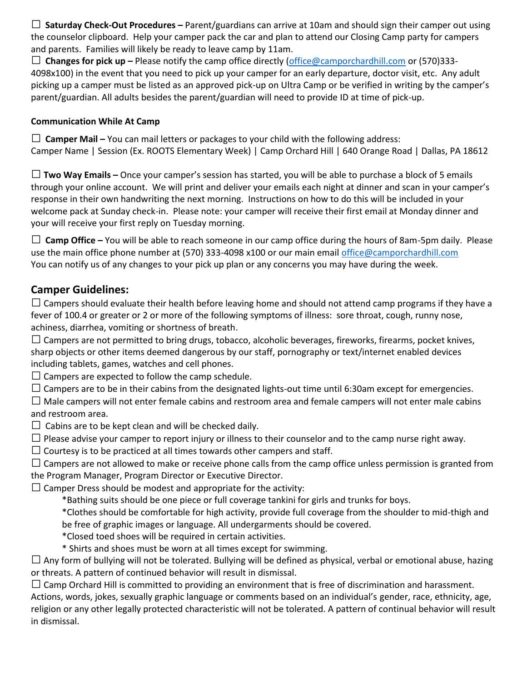□ **Saturday Check-Out Procedures –** Parent/guardians can arrive at 10am and should sign their camper out using the counselor clipboard. Help your camper pack the car and plan to attend our Closing Camp party for campers and parents. Families will likely be ready to leave camp by 11am.

□ **Changes for pick up –** Please notify the camp office directly [\(office@camporchardhill.com](mailto:office@camporchardhill.com) or (570)333- 4098x100) in the event that you need to pick up your camper for an early departure, doctor visit, etc. Any adult picking up a camper must be listed as an approved pick-up on Ultra Camp or be verified in writing by the camper's parent/guardian. All adults besides the parent/guardian will need to provide ID at time of pick-up.

#### **Communication While At Camp**

□ **Camper Mail** – You can mail letters or packages to your child with the following address: Camper Name | Session (Ex. ROOTS Elementary Week) | Camp Orchard Hill | 640 Orange Road | Dallas, PA 18612

□ **Two Way Emails –** Once your camper's session has started, you will be able to purchase a block of 5 emails through your online account. We will print and deliver your emails each night at dinner and scan in your camper's response in their own handwriting the next morning. Instructions on how to do this will be included in your welcome pack at Sunday check-in. Please note: your camper will receive their first email at Monday dinner and your will receive your first reply on Tuesday morning.

□ **Camp Office** – You will be able to reach someone in our camp office during the hours of 8am-5pm daily. Please use the main office phone number at (570) 333-4098 x100 or our main email [office@camporchardhill.com](mailto:office@camporchardhill.com)  You can notify us of any changes to your pick up plan or any concerns you may have during the week.

## **Camper Guidelines:**

 $\Box$  Campers should evaluate their health before leaving home and should not attend camp programs if they have a fever of 100.4 or greater or 2 or more of the following symptoms of illness: sore throat, cough, runny nose, achiness, diarrhea, vomiting or shortness of breath.

 $\square$  Campers are not permitted to bring drugs, tobacco, alcoholic beverages, fireworks, firearms, pocket knives, sharp objects or other items deemed dangerous by our staff, pornography or text/internet enabled devices including tablets, games, watches and cell phones.

 $\square$  Campers are expected to follow the camp schedule.

 $\Box$  Campers are to be in their cabins from the designated lights-out time until 6:30am except for emergencies.

 $\Box$  Male campers will not enter female cabins and restroom area and female campers will not enter male cabins and restroom area.

 $\Box$  Cabins are to be kept clean and will be checked daily.

 $\Box$  Please advise your camper to report injury or illness to their counselor and to the camp nurse right away.

 $\Box$  Courtesy is to be practiced at all times towards other campers and staff.

 $\Box$  Campers are not allowed to make or receive phone calls from the camp office unless permission is granted from the Program Manager, Program Director or Executive Director.

 $\square$  Camper Dress should be modest and appropriate for the activity:

\*Bathing suits should be one piece or full coverage tankini for girls and trunks for boys.

\*Clothes should be comfortable for high activity, provide full coverage from the shoulder to mid-thigh and be free of graphic images or language. All undergarments should be covered.

\*Closed toed shoes will be required in certain activities.

\* Shirts and shoes must be worn at all times except for swimming.

 $\Box$  Any form of bullying will not be tolerated. Bullying will be defined as physical, verbal or emotional abuse, hazing or threats. A pattern of continued behavior will result in dismissal.

 $\Box$  Camp Orchard Hill is committed to providing an environment that is free of discrimination and harassment.

Actions, words, jokes, sexually graphic language or comments based on an individual's gender, race, ethnicity, age, religion or any other legally protected characteristic will not be tolerated. A pattern of continual behavior will result in dismissal.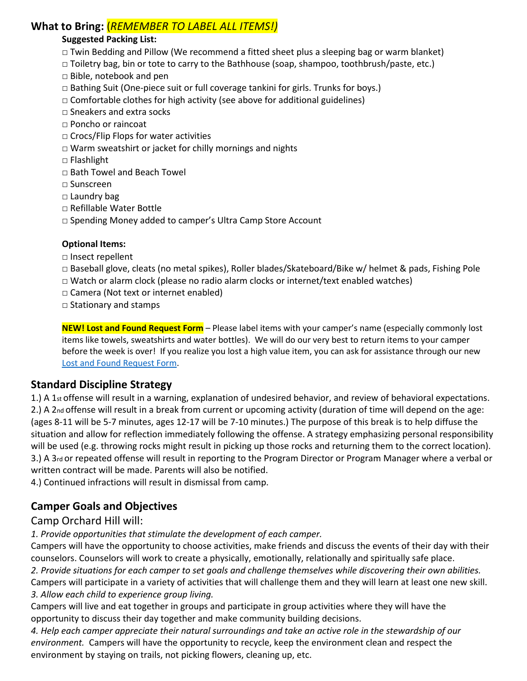## **What to Bring:** (*REMEMBER TO LABEL ALL ITEMS!)*

### **Suggested Packing List:**

- □ Twin Bedding and Pillow (We recommend a fitted sheet plus a sleeping bag or warm blanket)
- □ Toiletry bag, bin or tote to carry to the Bathhouse (soap, shampoo, toothbrush/paste, etc.)
- □ Bible, notebook and pen
- □ Bathing Suit (One-piece suit or full coverage tankini for girls. Trunks for boys.)
- $\Box$  Comfortable clothes for high activity (see above for additional guidelines)
- □ Sneakers and extra socks
- □ Poncho or raincoat
- $\square$  Crocs/Flip Flops for water activities
- $\square$  Warm sweatshirt or jacket for chilly mornings and nights
- □ Flashlight
- □ Bath Towel and Beach Towel
- □ Sunscreen
- □ Laundry bag
- □ Refillable Water Bottle
- □ Spending Money added to camper's Ultra Camp Store Account

#### **Optional Items:**

- □ Insect repellent
- □ Baseball glove, cleats (no metal spikes), Roller blades/Skateboard/Bike w/ helmet & pads, Fishing Pole
- $\Box$  Watch or alarm clock (please no radio alarm clocks or internet/text enabled watches)
- □ Camera (Not text or internet enabled)
- □ Stationary and stamps

**NEW! Lost and Found Request Form** – Please label items with your camper's name (especially commonly lost items like towels, sweatshirts and water bottles). We will do our very best to return items to your camper before the week is over! If you realize you lost a high value item, you can ask for assistance through our new [Lost and Found Request Form.](https://forms.gle/vBwx5zTnc1UqyUq67)

### **Standard Discipline Strategy**

1.) A 1st offense will result in a warning, explanation of undesired behavior, and review of behavioral expectations. 2.) A 2nd offense will result in a break from current or upcoming activity (duration of time will depend on the age: (ages 8-11 will be 5-7 minutes, ages 12-17 will be 7-10 minutes.) The purpose of this break is to help diffuse the situation and allow for reflection immediately following the offense. A strategy emphasizing personal responsibility will be used (e.g. throwing rocks might result in picking up those rocks and returning them to the correct location). 3.) A 3rd or repeated offense will result in reporting to the Program Director or Program Manager where a verbal or written contract will be made. Parents will also be notified.

4.) Continued infractions will result in dismissal from camp.

## **Camper Goals and Objectives**

### Camp Orchard Hill will:

*1. Provide opportunities that stimulate the development of each camper.* 

Campers will have the opportunity to choose activities, make friends and discuss the events of their day with their counselors. Counselors will work to create a physically, emotionally, relationally and spiritually safe place.

*2. Provide situations for each camper to set goals and challenge themselves while discovering their own abilities.* 

Campers will participate in a variety of activities that will challenge them and they will learn at least one new skill. *3. Allow each child to experience group living.* 

Campers will live and eat together in groups and participate in group activities where they will have the opportunity to discuss their day together and make community building decisions.

*4. Help each camper appreciate their natural surroundings and take an active role in the stewardship of our environment.* Campers will have the opportunity to recycle, keep the environment clean and respect the environment by staying on trails, not picking flowers, cleaning up, etc.